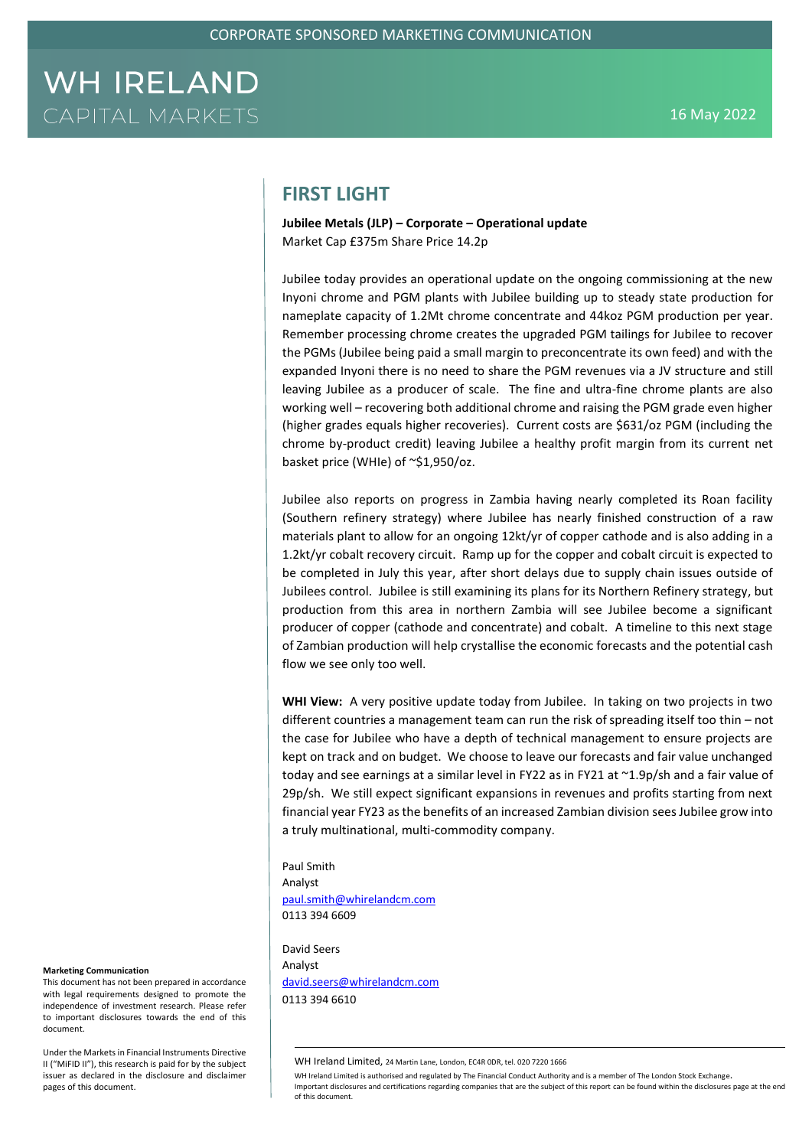### **FIRST LIGHT**

**Jubilee Metals (JLP) – Corporate – Operational update** Market Cap £375m Share Price 14.2p

Jubilee today provides an operational update on the ongoing commissioning at the new Inyoni chrome and PGM plants with Jubilee building up to steady state production for nameplate capacity of 1.2Mt chrome concentrate and 44koz PGM production per year. Remember processing chrome creates the upgraded PGM tailings for Jubilee to recover the PGMs (Jubilee being paid a small margin to preconcentrate its own feed) and with the expanded Inyoni there is no need to share the PGM revenues via a JV structure and still leaving Jubilee as a producer of scale. The fine and ultra-fine chrome plants are also working well – recovering both additional chrome and raising the PGM grade even higher (higher grades equals higher recoveries). Current costs are \$631/oz PGM (including the chrome by-product credit) leaving Jubilee a healthy profit margin from its current net basket price (WHIe) of ~\$1,950/oz.

Jubilee also reports on progress in Zambia having nearly completed its Roan facility (Southern refinery strategy) where Jubilee has nearly finished construction of a raw materials plant to allow for an ongoing 12kt/yr of copper cathode and is also adding in a 1.2kt/yr cobalt recovery circuit. Ramp up for the copper and cobalt circuit is expected to be completed in July this year, after short delays due to supply chain issues outside of Jubilees control. Jubilee is still examining its plans for its Northern Refinery strategy, but production from this area in northern Zambia will see Jubilee become a significant producer of copper (cathode and concentrate) and cobalt. A timeline to this next stage of Zambian production will help crystallise the economic forecasts and the potential cash flow we see only too well.

**WHI View:** A very positive update today from Jubilee. In taking on two projects in two different countries a management team can run the risk of spreading itself too thin – not the case for Jubilee who have a depth of technical management to ensure projects are kept on track and on budget. We choose to leave our forecasts and fair value unchanged today and see earnings at a similar level in FY22 as in FY21 at ~1.9p/sh and a fair value of 29p/sh. We still expect significant expansions in revenues and profits starting from next financial year FY23 as the benefits of an increased Zambian division sees Jubilee grow into a truly multinational, multi-commodity company.

Paul Smith Analyst [paul.smith@whirelandcm.com](mailto:paul.smith@whirelandcm.com)

0113 394 6609

David Seers Analyst [david.seers@whirelandcm.com](mailto:david.seers@whirelandcm.com) 0113 394 6610

WH Ireland Limited is authorised and regulated by The Financial Conduct Authority and is a member of The London Stock Exchange. Important disclosures and certifications regarding companies that are the subject of this report can be found within the disclosures page at the end of this document.

#### **Marketing Communication**

This document has not been prepared in accordance with legal requirements designed to promote the independence of investment research. Please refer to important disclosures towards the end of this document.

Under the Markets in Financial Instruments Directive II ("MiFID II"), this research is paid for by the subject issuer as declared in the disclosure and disclaimer pages of this document.

WH Ireland Limited, 24 Martin Lane, London, EC4R 0DR, tel. 020 7220 1666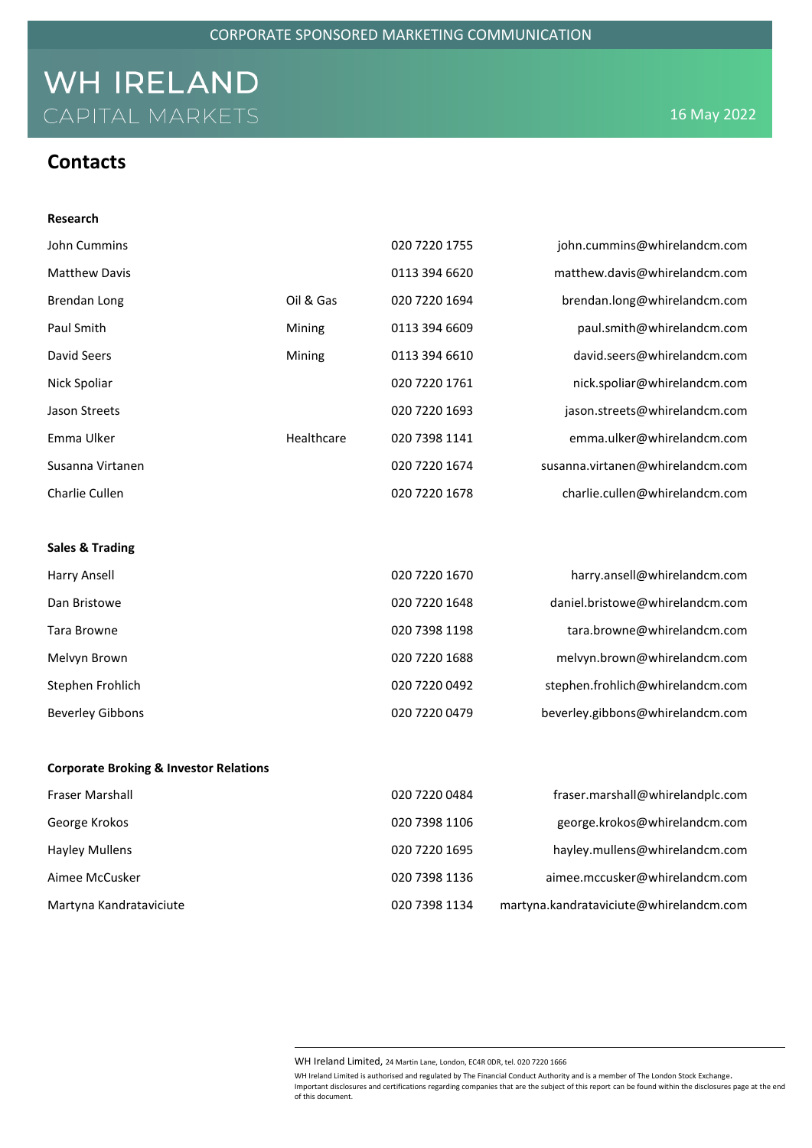### **Contacts**

**Research**

| John Cummins               |            | 020 7220 1755 | john.cummins@whirelandcm.com     |
|----------------------------|------------|---------------|----------------------------------|
| <b>Matthew Davis</b>       |            | 0113 394 6620 | matthew.davis@whirelandcm.com    |
| Brendan Long               | Oil & Gas  | 020 7220 1694 | brendan.long@whirelandcm.com     |
| Paul Smith                 | Mining     | 0113 394 6609 | paul.smith@whirelandcm.com       |
| David Seers                | Mining     | 0113 394 6610 | david.seers@whirelandcm.com      |
| Nick Spoliar               |            | 020 7220 1761 | nick.spoliar@whirelandcm.com     |
| Jason Streets              |            | 020 7220 1693 | jason.streets@whirelandcm.com    |
| Emma Ulker                 | Healthcare | 020 7398 1141 | emma.ulker@whirelandcm.com       |
| Susanna Virtanen           |            | 020 7220 1674 | susanna.virtanen@whirelandcm.com |
| Charlie Cullen             |            | 020 7220 1678 | charlie.cullen@whirelandcm.com   |
|                            |            |               |                                  |
| <b>Sales &amp; Trading</b> |            |               |                                  |
| Harry Ansell               |            | 020 7220 1670 | harry.ansell@whirelandcm.com     |
| Dan Bristowe               |            | 020 7220 1648 | daniel.bristowe@whirelandcm.com  |
| Tara Browne                |            | 020 7398 1198 | tara.browne@whirelandcm.com      |
| Melvyn Brown               |            | 020 7220 1688 | melvyn.brown@whirelandcm.com     |
| Stephen Frohlich           |            | 020 7220 0492 | stephen.frohlich@whirelandcm.com |
| <b>Beverley Gibbons</b>    |            | 020 7220 0479 | beverley.gibbons@whirelandcm.com |
|                            |            |               |                                  |

### **Corporate Broking & Investor Relations**

| <b>Fraser Marshall</b>  | 020 7220 0484 | fraser.marshall@whirelandplc.com        |
|-------------------------|---------------|-----------------------------------------|
| George Krokos           | 020 7398 1106 | george.krokos@whirelandcm.com           |
| <b>Hayley Mullens</b>   | 020 7220 1695 | hayley.mullens@whirelandcm.com          |
| Aimee McCusker          | 020 7398 1136 | aimee.mccusker@whirelandcm.com          |
| Martyna Kandrataviciute | 020 7398 1134 | martyna.kandrataviciute@whirelandcm.com |

WH Ireland Limited, 24 Martin Lane, London, EC4R 0DR, tel. 020 7220 1666

WH Ireland Limited is authorised and regulated by The Financial Conduct Authority and is a member of The London Stock Exchange. Important disclosures and certifications regarding companies that are the subject of this report can be found within the disclosures page at the end of this document.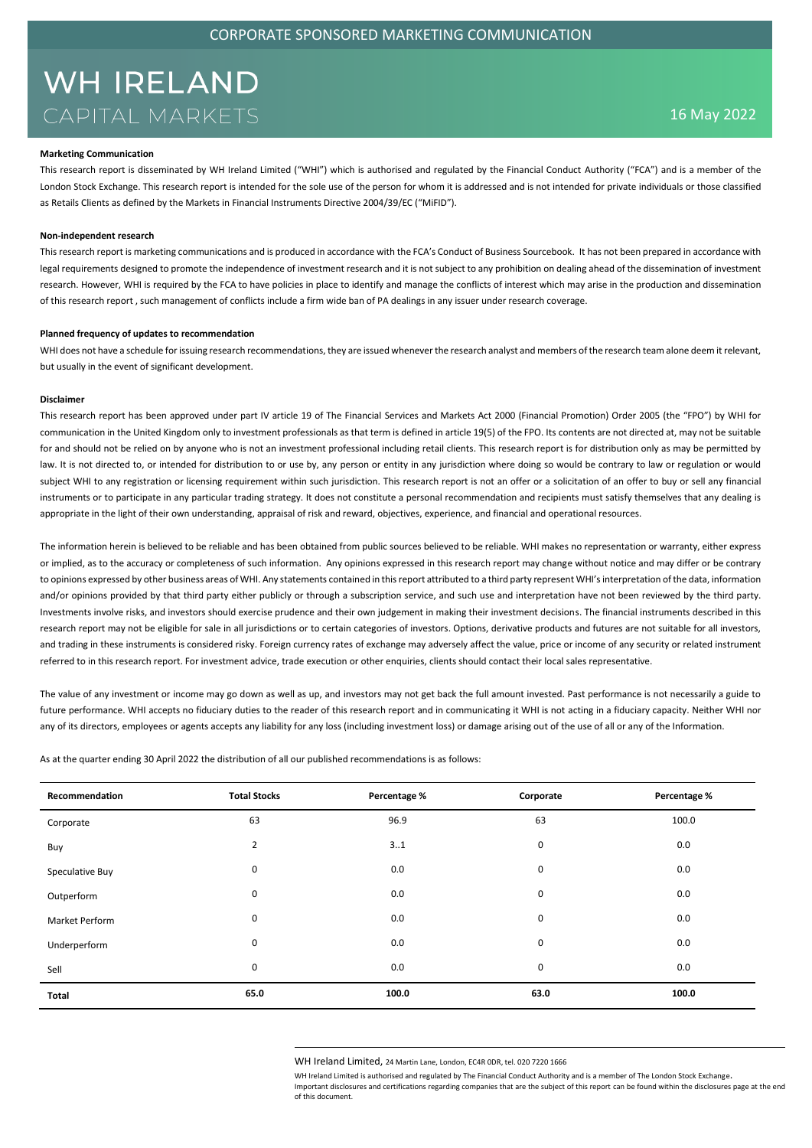#### **Marketing Communication**

This research report is disseminated by WH Ireland Limited ("WHI") which is authorised and regulated by the Financial Conduct Authority ("FCA") and is a member of the London Stock Exchange. This research report is intended for the sole use of the person for whom it is addressed and is not intended for private individuals or those classified as Retails Clients as defined by the Markets in Financial Instruments Directive 2004/39/EC ("MiFID").

#### **Non-independent research**

This research report is marketing communications and is produced in accordance with the FCA's Conduct of Business Sourcebook. It has not been prepared in accordance with legal requirements designed to promote the independence of investment research and it is not subject to any prohibition on dealing ahead of the dissemination of investment research. However, WHI is required by the FCA to have policies in place to identify and manage the conflicts of interest which may arise in the production and dissemination of this research report , such management of conflicts include a firm wide ban of PA dealings in any issuer under research coverage.

#### **Planned frequency of updates to recommendation**

WHI does not have a schedule for issuing research recommendations, they are issued whenever the research analyst and members of the research team alone deem it relevant, but usually in the event of significant development.

#### **Disclaimer**

This research report has been approved under part IV article 19 of The Financial Services and Markets Act 2000 (Financial Promotion) Order 2005 (the "FPO") by WHI for communication in the United Kingdom only to investment professionals as that term is defined in article 19(5) of the FPO. Its contents are not directed at, may not be suitable for and should not be relied on by anyone who is not an investment professional including retail clients. This research report is for distribution only as may be permitted by law. It is not directed to, or intended for distribution to or use by, any person or entity in any jurisdiction where doing so would be contrary to law or regulation or would subject WHI to any registration or licensing requirement within such jurisdiction. This research report is not an offer or a solicitation of an offer to buy or sell any financial instruments or to participate in any particular trading strategy. It does not constitute a personal recommendation and recipients must satisfy themselves that any dealing is appropriate in the light of their own understanding, appraisal of risk and reward, objectives, experience, and financial and operational resources.

The information herein is believed to be reliable and has been obtained from public sources believed to be reliable. WHI makes no representation or warranty, either express or implied, as to the accuracy or completeness of such information. Any opinions expressed in this research report may change without notice and may differ or be contrary to opinions expressed by other business areas of WHI. Any statements contained in this report attributed to a third party represent WHI's interpretation of the data, information and/or opinions provided by that third party either publicly or through a subscription service, and such use and interpretation have not been reviewed by the third party. Investments involve risks, and investors should exercise prudence and their own judgement in making their investment decisions. The financial instruments described in this research report may not be eligible for sale in all jurisdictions or to certain categories of investors. Options, derivative products and futures are not suitable for all investors, and trading in these instruments is considered risky. Foreign currency rates of exchange may adversely affect the value, price or income of any security or related instrument referred to in this research report. For investment advice, trade execution or other enquiries, clients should contact their local sales representative.

The value of any investment or income may go down as well as up, and investors may not get back the full amount invested. Past performance is not necessarily a guide to future performance. WHI accepts no fiduciary duties to the reader of this research report and in communicating it WHI is not acting in a fiduciary capacity. Neither WHI nor any of its directors, employees or agents accepts any liability for any loss (including investment loss) or damage arising out of the use of all or any of the Information.

As at the quarter ending 30 April 2022 the distribution of all our published recommendations is as follows:

| Recommendation        | <b>Total Stocks</b> | Percentage % | Corporate | Percentage % |
|-----------------------|---------------------|--------------|-----------|--------------|
| Corporate             | 63                  | 96.9         | 63        | 100.0        |
| Buy                   | 2                   | 31           | 0         | 0.0          |
| Speculative Buy       | $\mathbf 0$         | 0.0          | 0         | 0.0          |
| Outperform            | $\mathbf 0$         | 0.0          | 0         | 0.0          |
| <b>Market Perform</b> | $\mathbf 0$         | 0.0          | 0         | 0.0          |
| Underperform          | $\mathbf 0$         | 0.0          | 0         | 0.0          |
| Sell                  | $\mathbf 0$         | 0.0          | 0         | 0.0          |
| Total                 | 65.0                | 100.0        | 63.0      | 100.0        |

WH Ireland Limited, 24 Martin Lane, London, EC4R 0DR, tel. 020 7220 1666

WH Ireland Limited is authorised and regulated by The Financial Conduct Authority and is a member of The London Stock Exchange. Important disclosures and certifications regarding companies that are the subject of this report can be found within the disclosures page at the end of this document.